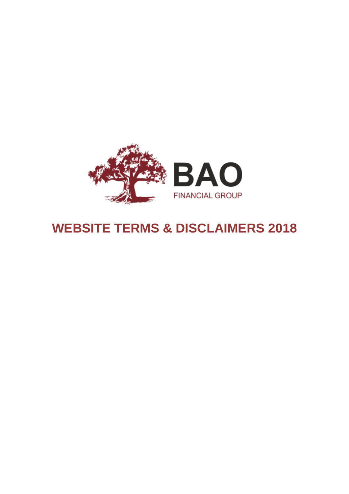

# **WEBSITE TERMS & DISCLAIMERS 2018**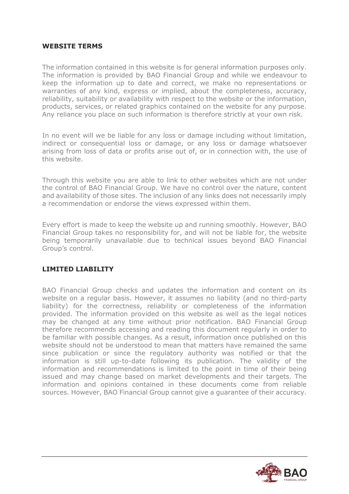#### **WEBSITE TERMS**

The information contained in this website is for general information purposes only. The information is provided by BAO Financial Group and while we endeavour to keep the information up to date and correct, we make no representations or warranties of any kind, express or implied, about the completeness, accuracy, reliability, suitability or availability with respect to the website or the information, products, services, or related graphics contained on the website for any purpose. Any reliance you place on such information is therefore strictly at your own risk.

In no event will we be liable for any loss or damage including without limitation, indirect or consequential loss or damage, or any loss or damage whatsoever arising from loss of data or profits arise out of, or in connection with, the use of this website.

Through this website you are able to link to other websites which are not under the control of BAO Financial Group. We have no control over the nature, content and availability of those sites. The inclusion of any links does not necessarily imply a recommendation or endorse the views expressed within them.

Every effort is made to keep the website up and running smoothly. However, BAO Financial Group takes no responsibility for, and will not be liable for, the website being temporarily unavailable due to technical issues beyond BAO Financial Group's control.

#### **LIMITED LIABILITY**

BAO Financial Group checks and updates the information and content on its website on a regular basis. However, it assumes no liability (and no third-party liability) for the correctness, reliability or completeness of the information provided. The information provided on this website as well as the legal notices may be changed at any time without prior notification. BAO Financial Group therefore recommends accessing and reading this document regularly in order to be familiar with possible changes. As a result, information once published on this website should not be understood to mean that matters have remained the same since publication or since the regulatory authority was notified or that the information is still up-to-date following its publication. The validity of the information and recommendations is limited to the point in time of their being issued and may change based on market developments and their targets. The information and opinions contained in these documents come from reliable sources. However, BAO Financial Group cannot give a guarantee of their accuracy.

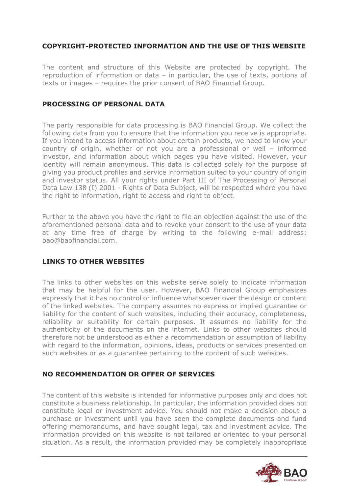### **COPYRIGHT-PROTECTED INFORMATION AND THE USE OF THIS WEBSITE**

The content and structure of this Website are protected by copyright. The reproduction of information or data – in particular, the use of texts, portions of texts or images – requires the prior consent of BAO Financial Group.

#### **PROCESSING OF PERSONAL DATA**

The party responsible for data processing is BAO Financial Group. We collect the following data from you to ensure that the information you receive is appropriate. If you intend to access information about certain products, we need to know your country of origin, whether or not you are a professional or well – informed investor, and information about which pages you have visited. However, your identity will remain anonymous. This data is collected solely for the purpose of giving you product profiles and service information suited to your country of origin and investor status. All your rights under Part III of The Processing of Personal Data Law 138 (I) 2001 - Rights of Data Subject, will be respected where you have the right to information, right to access and right to object.

Further to the above you have the right to file an objection against the use of the aforementioned personal data and to revoke your consent to the use of your data at any time free of charge by writing to the following e-mail address: [bao@baofinancial.com.](mailto:bao@baofinancial.com)

#### **LINKS TO OTHER WEBSITES**

The links to other websites on this website serve solely to indicate information that may be helpful for the user. However, BAO Financial Group emphasizes expressly that it has no control or influence whatsoever over the design or content of the linked websites. The company assumes no express or implied guarantee or liability for the content of such websites, including their accuracy, completeness, reliability or suitability for certain purposes. It assumes no liability for the authenticity of the documents on the internet. Links to other websites should therefore not be understood as either a recommendation or assumption of liability with regard to the information, opinions, ideas, products or services presented on such websites or as a guarantee pertaining to the content of such websites.

#### **NO RECOMMENDATION OR OFFER OF SERVICES**

The content of this website is intended for informative purposes only and does not constitute a business relationship. In particular, the information provided does not constitute legal or investment advice. You should not make a decision about a purchase or investment until you have seen the complete documents and fund offering memorandums, and have sought legal, tax and investment advice. The information provided on this website is not tailored or oriented to your personal situation. As a result, the information provided may be completely inappropriate

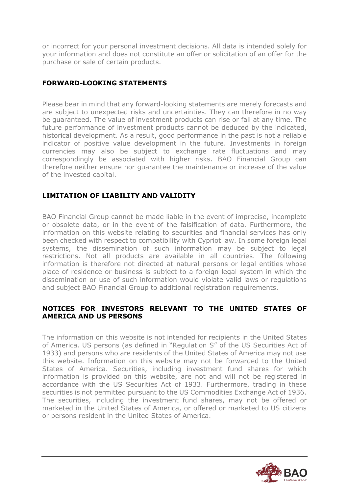or incorrect for your personal investment decisions. All data is intended solely for your information and does not constitute an offer or solicitation of an offer for the purchase or sale of certain products.

# **FORWARD-LOOKING STATEMENTS**

Please bear in mind that any forward-looking statements are merely forecasts and are subject to unexpected risks and uncertainties. They can therefore in no way be guaranteed. The value of investment products can rise or fall at any time. The future performance of investment products cannot be deduced by the indicated, historical development. As a result, good performance in the past is not a reliable indicator of positive value development in the future. Investments in foreign currencies may also be subject to exchange rate fluctuations and may correspondingly be associated with higher risks. BAO Financial Group can therefore neither ensure nor guarantee the maintenance or increase of the value of the invested capital.

## **LIMITATION OF LIABILITY AND VALIDITY**

BAO Financial Group cannot be made liable in the event of imprecise, incomplete or obsolete data, or in the event of the falsification of data. Furthermore, the information on this website relating to securities and financial services has only been checked with respect to compatibility with Cypriot law. In some foreign legal systems, the dissemination of such information may be subject to legal restrictions. Not all products are available in all countries. The following information is therefore not directed at natural persons or legal entities whose place of residence or business is subject to a foreign legal system in which the dissemination or use of such information would violate valid laws or regulations and subject BAO Financial Group to additional registration requirements.

#### **NOTICES FOR INVESTORS RELEVANT TO THE UNITED STATES OF AMERICA AND US PERSONS**

The information on this website is not intended for recipients in the United States of America. US persons (as defined in "Regulation S" of the US Securities Act of 1933) and persons who are residents of the United States of America may not use this website. Information on this website may not be forwarded to the United States of America. Securities, including investment fund shares for which information is provided on this website, are not and will not be registered in accordance with the US Securities Act of 1933. Furthermore, trading in these securities is not permitted pursuant to the US Commodities Exchange Act of 1936. The securities, including the investment fund shares, may not be offered or marketed in the United States of America, or offered or marketed to US citizens or persons resident in the United States of America.